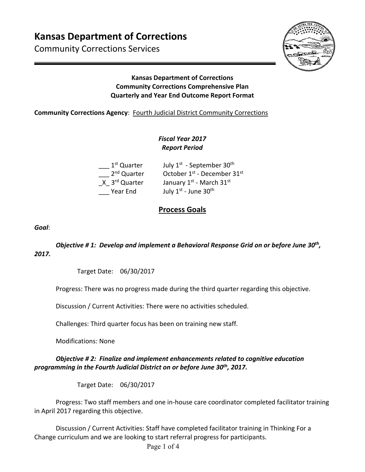# **Kansas Department of Corrections**

Community Corrections Services



#### **Kansas Department of Corrections Community Corrections Comprehensive Plan Quarterly and Year End Outcome Report Format**

#### **Community Corrections Agency: Fourth Judicial District Community Corrections**

### *Fiscal Year 2017 Report Period*

| 1 <sup>st</sup> Quarter   | July 1 <sup>st</sup> - September 30 <sup>th</sup>   |
|---------------------------|-----------------------------------------------------|
| 2 <sup>nd</sup> Quarter   | October 1 <sup>st</sup> - December 31 <sup>st</sup> |
| X 3 <sup>rd</sup> Quarter | January 1st - March 31st                            |
| Year End                  | July 1st - June 30th                                |

## **Process Goals**

*Goal*:

#### *Objective # 1: Develop and implement a Behavioral Response Grid on or before June 30th, 2017.*

Target Date: 06/30/2017

Progress: There was no progress made during the third quarter regarding this objective.

Discussion / Current Activities: There were no activities scheduled.

Challenges: Third quarter focus has been on training new staff.

Modifications: None

#### *Objective # 2: Finalize and implement enhancements related to cognitive education programming in the Fourth Judicial District on or before June 30th, 2017.*

Target Date: 06/30/2017

Progress: Two staff members and one in‐house care coordinator completed facilitator training in April 2017 regarding this objective.

Discussion / Current Activities: Staff have completed facilitator training in Thinking For a Change curriculum and we are looking to start referral progress for participants.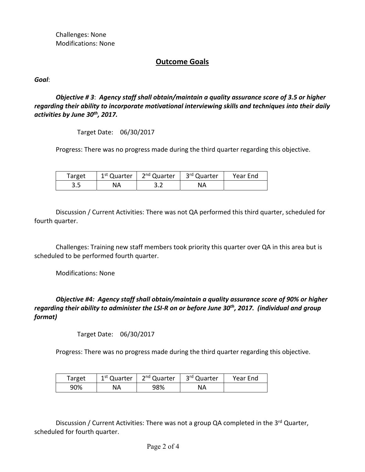Challenges: None Modifications: None

#### **Outcome Goals**

*Goal*:

*Objective # 3*: *Agency staff shall obtain/maintain a quality assurance score of 3.5 or higher regarding their ability to incorporate motivational interviewing skills and techniques into their daily activities by June 30th, 2017.* 

Target Date: 06/30/2017

Progress: There was no progress made during the third quarter regarding this objective.

| Target | 1 <sup>st</sup> Quarter | 2 <sup>nd</sup> Quarter | 3 <sup>rd</sup> Quarter | Year End |
|--------|-------------------------|-------------------------|-------------------------|----------|
| ں د    | NA                      | $\cdots$                | NA                      |          |

Discussion / Current Activities: There was not QA performed this third quarter, scheduled for fourth quarter.

Challenges: Training new staff members took priority this quarter over QA in this area but is scheduled to be performed fourth quarter.

Modifications: None

*Objective #4: Agency staff shall obtain/maintain a quality assurance score of 90% or higher regarding their ability to administer the LSI‐R on or before June 30th, 2017. (individual and group format)* 

Target Date: 06/30/2017

Progress: There was no progress made during the third quarter regarding this objective.

| Target | 1 <sup>st</sup> Quarter | 2 <sup>nd</sup> Quarter | 3 <sup>rd</sup> Quarter | Year End |
|--------|-------------------------|-------------------------|-------------------------|----------|
| 90%    | NА                      | 98%                     | NА                      |          |

Discussion / Current Activities: There was not a group QA completed in the 3<sup>rd</sup> Quarter, scheduled for fourth quarter.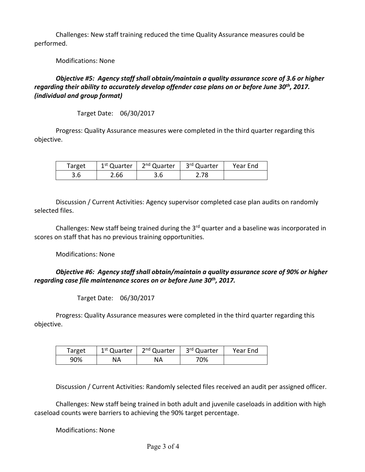Challenges: New staff training reduced the time Quality Assurance measures could be performed.

Modifications: None

#### *Objective #5: Agency staff shall obtain/maintain a quality assurance score of 3.6 or higher regarding their ability to accurately develop offender case plans on or before June 30th, 2017. (individual and group format)*

Target Date: 06/30/2017

Progress: Quality Assurance measures were completed in the third quarter regarding this objective.

| Target | 1 <sup>st</sup> Quarter | 2 <sup>nd</sup> Quarter | 3 <sup>rd</sup> Quarter | Year End |
|--------|-------------------------|-------------------------|-------------------------|----------|
| 3.6    | 2.66                    | 3.6                     | 2.78                    |          |

Discussion / Current Activities: Agency supervisor completed case plan audits on randomly selected files.

Challenges: New staff being trained during the 3<sup>rd</sup> quarter and a baseline was incorporated in scores on staff that has no previous training opportunities.

Modifications: None

#### *Objective #6: Agency staff shall obtain/maintain a quality assurance score of 90% or higher regarding case file maintenance scores on or before June 30th, 2017.*

Target Date: 06/30/2017

Progress: Quality Assurance measures were completed in the third quarter regarding this objective.

| Target | 1 <sup>st</sup> Quarter | 2 <sup>nd</sup> Quarter | 3rd Quarter | Year End |
|--------|-------------------------|-------------------------|-------------|----------|
| 90%    | ΝA                      | NА                      | 70%         |          |

Discussion / Current Activities: Randomly selected files received an audit per assigned officer.

Challenges: New staff being trained in both adult and juvenile caseloads in addition with high caseload counts were barriers to achieving the 90% target percentage.

Modifications: None